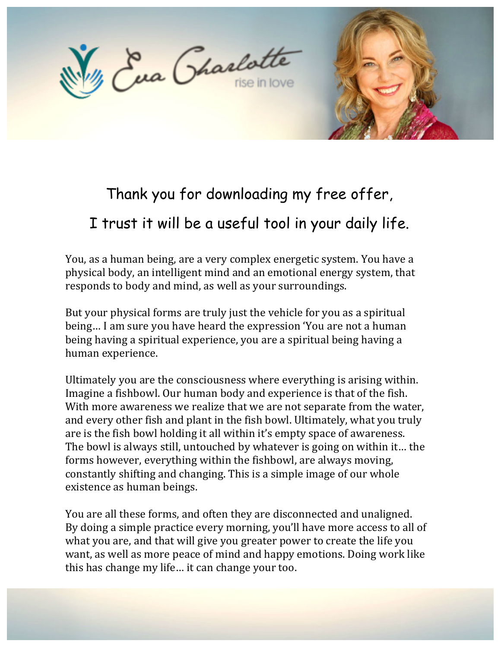



## Thank you for downloading my free offer,

## I trust it will be a useful tool in your daily life.

You, as a human being, are a very complex energetic system. You have a physical body, an intelligent mind and an emotional energy system, that responds to body and mind, as well as your surroundings.

But your physical forms are truly just the vehicle for you as a spiritual being... I am sure you have heard the expression 'You are not a human being having a spiritual experience, you are a spiritual being having a human experience.

Ultimately you are the consciousness where everything is arising within. Imagine a fishbowl. Our human body and experience is that of the fish. With more awareness we realize that we are not separate from the water, and every other fish and plant in the fish bowl. Ultimately, what you truly are is the fish bowl holding it all within it's empty space of awareness. The bowl is always still, untouched by whatever is going on within it... the forms however, everything within the fishbowl, are always moving. constantly shifting and changing. This is a simple image of our whole existence as human beings.

You are all these forms, and often they are disconnected and unaligned. By doing a simple practice every morning, you'll have more access to all of what you are, and that will give you greater power to create the life you want, as well as more peace of mind and happy emotions. Doing work like this has change my life... it can change your too.